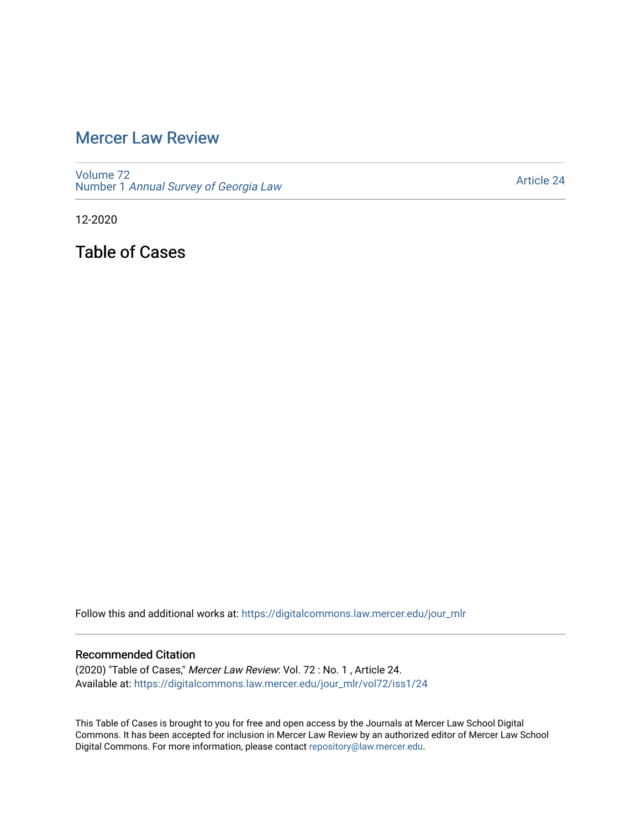## [Mercer Law Review](https://digitalcommons.law.mercer.edu/jour_mlr)

[Volume 72](https://digitalcommons.law.mercer.edu/jour_mlr/vol72) Number 1 [Annual Survey of Georgia Law](https://digitalcommons.law.mercer.edu/jour_mlr/vol72/iss1) 

[Article 24](https://digitalcommons.law.mercer.edu/jour_mlr/vol72/iss1/24) 

12-2020

Table of Cases

Follow this and additional works at: [https://digitalcommons.law.mercer.edu/jour\\_mlr](https://digitalcommons.law.mercer.edu/jour_mlr?utm_source=digitalcommons.law.mercer.edu%2Fjour_mlr%2Fvol72%2Fiss1%2F24&utm_medium=PDF&utm_campaign=PDFCoverPages)

## Recommended Citation

(2020) "Table of Cases," Mercer Law Review: Vol. 72 : No. 1 , Article 24. Available at: [https://digitalcommons.law.mercer.edu/jour\\_mlr/vol72/iss1/24](https://digitalcommons.law.mercer.edu/jour_mlr/vol72/iss1/24?utm_source=digitalcommons.law.mercer.edu%2Fjour_mlr%2Fvol72%2Fiss1%2F24&utm_medium=PDF&utm_campaign=PDFCoverPages) 

This Table of Cases is brought to you for free and open access by the Journals at Mercer Law School Digital Commons. It has been accepted for inclusion in Mercer Law Review by an authorized editor of Mercer Law School Digital Commons. For more information, please contact [repository@law.mercer.edu](mailto:repository@law.mercer.edu).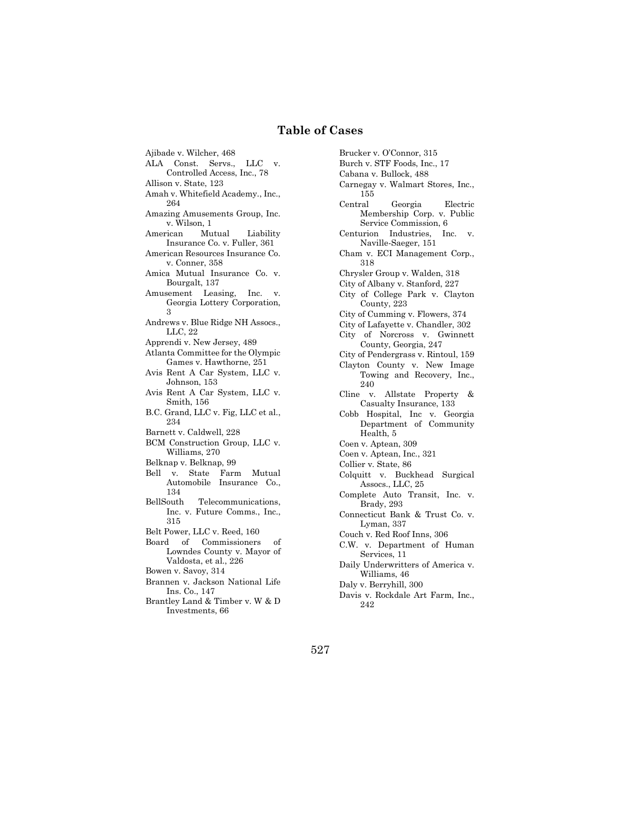## **Table of Cases**

Ajibade v. Wilcher, 468 ALA Const. Servs., LLC v. Controlled Access, Inc., 78 Allison v. State, 123 Amah v. Whitefield Academy., Inc., 264 Amazing Amusements Group, Inc. v. Wilson, 1 American Mutual Liability Insurance Co. v. Fuller, 361 American Resources Insurance Co. v. Conner, 358 Amica Mutual Insurance Co. v. Bourgalt, 137 Amusement Leasing, Inc. v. Georgia Lottery Corporation, 3 Andrews v. Blue Ridge NH Assocs., LLC, 22 Apprendi v. New Jersey, 489 Atlanta Committee for the Olympic Games v. Hawthorne, 251 Avis Rent A Car System, LLC v. Johnson, 153 Avis Rent A Car System, LLC v. Smith, 156 B.C. Grand, LLC v. Fig, LLC et al., 234 Barnett v. Caldwell, 228 BCM Construction Group, LLC v. Williams, 270 Belknap v. Belknap, 99 Bell v. State Farm Mutual Automobile Insurance Co., 134 BellSouth Telecommunications, Inc. v. Future Comms., Inc., 315 Belt Power, LLC v. Reed, 160 Board of Commissioners of Lowndes County v. Mayor of Valdosta, et al., 226 Bowen v. Savoy, 314 Brannen v. Jackson National Life Ins. Co., 147 Brantley Land & Timber v. W & D Investments, 66

Brucker v. O'Connor, 315 Burch v. STF Foods, Inc., 17 Cabana v. Bullock, 488 Carnegay v. Walmart Stores, Inc., 155 Central Georgia Electric Membership Corp. v. Public Service Commission, 6 Centurion Industries, Inc. v. Naville-Saeger, 151 Cham v. ECI Management Corp., 318 Chrysler Group v. Walden, 318 City of Albany v. Stanford, 227 City of College Park v. Clayton County, 223 City of Cumming v. Flowers, 374 City of Lafayette v. Chandler, 302 City of Norcross v. Gwinnett County, Georgia, 247 City of Pendergrass v. Rintoul, 159 Clayton County v. New Image Towing and Recovery, Inc., 240 Cline v. Allstate Property & Casualty Insurance, 133 Cobb Hospital, Inc v. Georgia Department of Community Health, 5 Coen v. Aptean, 309 Coen v. Aptean, Inc., 321 Collier v. State, 86 Colquitt v. Buckhead Surgical Assocs., LLC, 25 Complete Auto Transit, Inc. v. Brady, 293 Connecticut Bank & Trust Co. v. Lyman, 337 Couch v. Red Roof Inns, 306 C.W. v. Department of Human Services, 11 Daily Underwritters of America v. Williams, 46 Daly v. Berryhill, 300 Davis v. Rockdale Art Farm, Inc., 242

527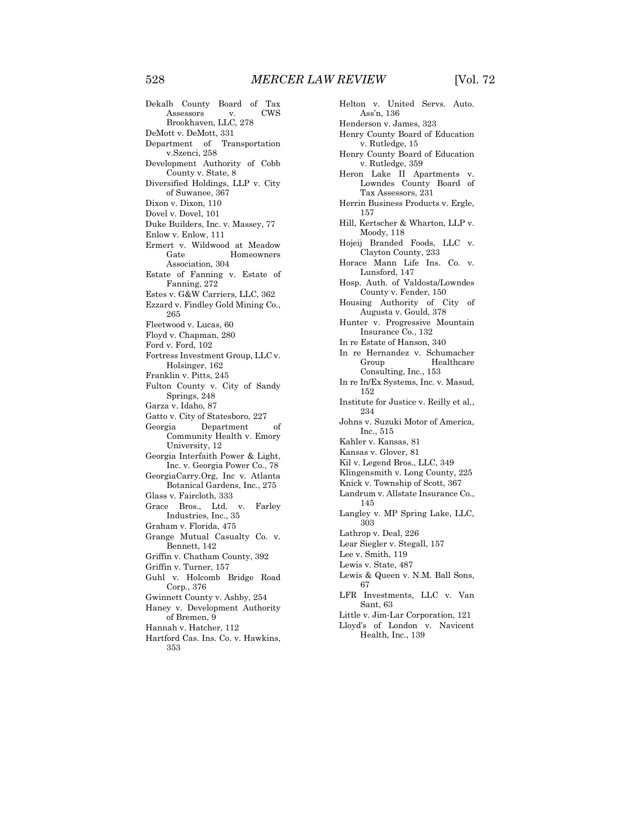Dekalb County Board of Tax Assessors Brookhaven, LLC, 278 DeMott v. DeMott, 331 Department of Transportation v.Szenci, 258 Development Authority of Cobb County v. State, 8 Diversified Holdings, LLP v. City of Suwanee, 367 Dixon v. Dixon, 110 Dovel v. Dovel, 101 Duke Builders, Inc. v. Massey, 77 Enlow v. Enlow, 111 Ermert v. Wildwood at Meadow Homeowners Association, 304 Estate of Fanning v. Estate of Fanning, 272 Estes v. G&W Carriers, LLC, 362 Ezzard v. Findley Gold Mining Co., 265 Fleetwood v. Lucas, 60 Floyd v. Chapman, 280 Ford v. Ford, 102 Fortress Investment Group, LLC v. Holsinger, 162 Franklin v. Pitts, 245 Fulton County v. City of Sandy Springs, 248 Garza v. Idaho, 87 Gatto v. City of Statesboro, 227 Georgia Department of Community Health v. Emory University, 12 Georgia Interfaith Power & Light, Inc. v. Georgia Power Co., 78 GeorgiaCarry.Org, Inc v. Atlanta Botanical Gardens, Inc., 275 Glass v. Faircloth, 333 Grace Bros., Ltd. v. Farley Industries, Inc., 35 Graham v. Florida, 475 Grange Mutual Casualty Co. v. Bennett, 142 Griffin v. Chatham County, 392 Griffin v. Turner, 157 Guhl v. Holcomb Bridge Road Corp., 376 Gwinnett County v. Ashby, 254 Haney v. Development Authority of Bremen, 9 Hannah v. Hatcher, 112 Hartford Cas. Ins. Co. v. Hawkins, 353

Helton v. United Servs. Auto. Ass'n, 136 Henderson v. James, 323 Henry County Board of Education v. Rutledge, 15 Henry County Board of Education v. Rutledge, 359 Heron Lake II Apartments v. Lowndes County Board of Tax Assessors, 231 Herrin Business Products v. Ergle, 157 Hill, Kertscher & Wharton, LLP v. Moody, 118 Hojeij Branded Foods, LLC v. Clayton County, 233 Horace Mann Life Ins. Co. v. Lunsford, 147 Hosp. Auth. of Valdosta/Lowndes County v. Fender, 150 Housing Authority of City of Augusta v. Gould, 378 Hunter v. Progressive Mountain Insurance Co., 132 In re Estate of Hanson, 340 In re Hernandez v. Schumacher Group Healthcare Consulting, Inc., 153 In re In/Ex Systems, Inc. v. Masud, 152 Institute for Justice v. Reilly et al., 234 Johns v. Suzuki Motor of America, Inc., 515 Kahler v. Kansas, 81 Kansas v. Glover, 81 Kil v. Legend Bros., LLC, 349 Klingensmith v. Long County, 225 Knick v. Township of Scott, 367 Landrum v. Allstate Insurance Co., 145 Langley v. MP Spring Lake, LLC, 303 Lathrop v. Deal, 226 Lear Siegler v. Stegall, 157 Lee v. Smith, 119 Lewis v. State, 487 Lewis & Queen v. N.M. Ball Sons, 67 LFR Investments, LLC v. Van Sant, 63 Little v. Jim-Lar Corporation, 121 Lloyd's of London v. Navicent

Health, Inc., 139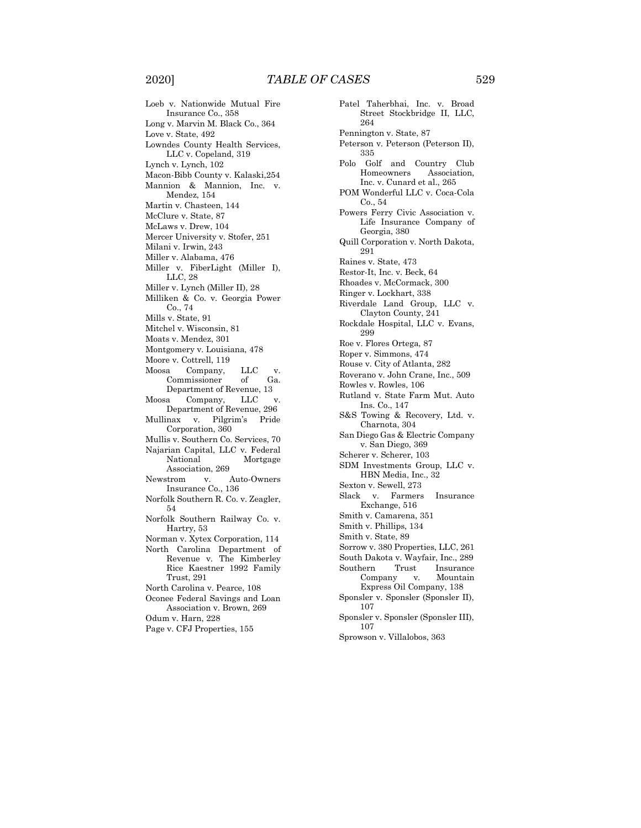Loeb v. Nationwide Mutual Fire Insurance Co., 358 Long v. Marvin M. Black Co., 364 Love v. State, 492 Lowndes County Health Services, LLC v. Copeland, 319 Lynch v. Lynch, 102 Macon-Bibb County v. Kalaski,254 Mannion & Mannion, Inc. v. Mendez, 154 Martin v. Chasteen, 144 McClure v. State, 87 McLaws v. Drew, 104 Mercer University v. Stofer, 251 Milani v. Irwin, 243 Miller v. Alabama, 476 Miller v. FiberLight (Miller I), LLC, 28 Miller v. Lynch (Miller II), 28 Milliken & Co. v. Georgia Power Co., 74 Mills v. State, 91 Mitchel v. Wisconsin, 81 Moats v. Mendez, 301 Montgomery v. Louisiana, 478 Moore v. Cottrell, 119 Moosa Company, LLC v. Commissioner of Ga. Department of Revenue, 13 Moosa Company, LLC v. Department of Revenue, 296 Mullinax v. Pilgrim's Pride Corporation, 360 Mullis v. Southern Co. Services, 70 Najarian Capital, LLC v. Federal National Mortgage Association, 269 Newstrom v. Auto-Owners Insurance Co., 136 Norfolk Southern R. Co. v. Zeagler, 54 Norfolk Southern Railway Co. v. Hartry, 53 Norman v. Xytex Corporation, 114 North Carolina Department of Revenue v. The Kimberley Rice Kaestner 1992 Family Trust, 291 North Carolina v. Pearce, 108 Oconee Federal Savings and Loan Association v. Brown, 269 Odum v. Harn, 228

Page v. CFJ Properties, 155

Patel Taherbhai, Inc. v. Broad Street Stockbridge II, LLC, 264 Pennington v. State, 87 Peterson v. Peterson (Peterson II), 335 Polo Golf and Country Club Homeowners Association, Inc. v. Cunard et al., 265 POM Wonderful LLC v. Coca-Cola Co., 54 Powers Ferry Civic Association v. Life Insurance Company of Georgia, 380 Quill Corporation v. North Dakota, 291 Raines v. State, 473 Restor-It, Inc. v. Beck, 64 Rhoades v. McCormack, 300 Ringer v. Lockhart, 338 Riverdale Land Group, LLC v. Clayton County, 241 Rockdale Hospital, LLC v. Evans, 299 Roe v. Flores Ortega, 87 Roper v. Simmons, 474 Rouse v. City of Atlanta, 282 Roverano v. John Crane, Inc., 509 Rowles v. Rowles, 106 Rutland v. State Farm Mut. Auto Ins. Co., 147 S&S Towing & Recovery, Ltd. v. Charnota, 304 San Diego Gas & Electric Company v. San Diego, 369 Scherer v. Scherer, 103 SDM Investments Group, LLC v. HBN Media, Inc., 32 Sexton v. Sewell, 273 Slack v. Farmers Insurance Exchange, 516 Smith v. Camarena, 351 Smith v. Phillips, 134 Smith v. State, 89 Sorrow v. 380 Properties, LLC, 261 South Dakota v. Wayfair, Inc., 289 Southern Trust Insurance Company v. Mountain Express Oil Company, 138 Sponsler v. Sponsler (Sponsler II), 107 Sponsler v. Sponsler (Sponsler III), 107

Sprowson v. Villalobos, 363